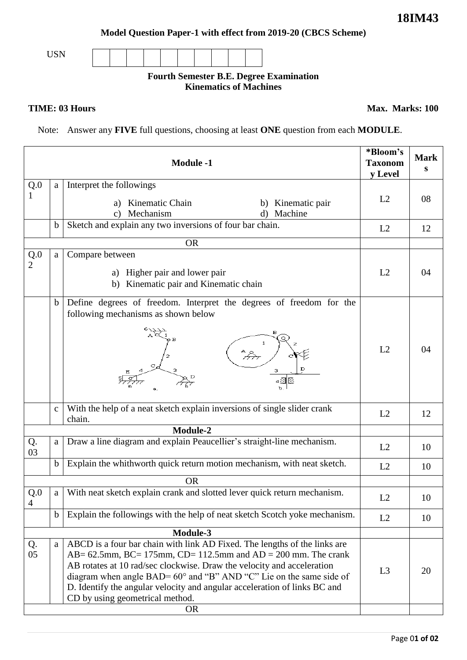**Model Question Paper-1 with effect from 2019-20 (CBCS Scheme)**

USN

## **Fourth Semester B.E. Degree Examination Kinematics of Machines**

**TIME: 03 Hours** Max. Marks: 100

Note: Answer any **FIVE** full questions, choosing at least **ONE** question from each **MODULE**.

| <b>Module -1</b>      |              |                                                                                                                                                                                                                                                                                                                                                                                                                 | *Bloom's<br><b>Taxonom</b><br>y Level | <b>Mark</b><br>S |  |  |
|-----------------------|--------------|-----------------------------------------------------------------------------------------------------------------------------------------------------------------------------------------------------------------------------------------------------------------------------------------------------------------------------------------------------------------------------------------------------------------|---------------------------------------|------------------|--|--|
| Q.0                   | a            | Interpret the followings                                                                                                                                                                                                                                                                                                                                                                                        |                                       |                  |  |  |
|                       |              | Kinematic Chain<br>Kinematic pair<br>a)<br>b)<br>Mechanism<br>Machine<br>d)<br>C)                                                                                                                                                                                                                                                                                                                               | L2                                    | 08               |  |  |
|                       | $\mathbf b$  | Sketch and explain any two inversions of four bar chain.                                                                                                                                                                                                                                                                                                                                                        | L2                                    | 12               |  |  |
|                       |              | <b>OR</b>                                                                                                                                                                                                                                                                                                                                                                                                       |                                       |                  |  |  |
| Q.0<br>$\overline{2}$ | a            | Compare between<br>a) Higher pair and lower pair<br>b) Kinematic pair and Kinematic chain                                                                                                                                                                                                                                                                                                                       | L2                                    | 04               |  |  |
|                       | $\mathbf b$  | Define degrees of freedom. Interpret the degrees of freedom for the<br>following mechanisms as shown below<br>4. a                                                                                                                                                                                                                                                                                              | L2                                    | 04               |  |  |
|                       | $\mathbf{c}$ | With the help of a neat sketch explain inversions of single slider crank<br>chain.                                                                                                                                                                                                                                                                                                                              | L2                                    | 12               |  |  |
| Module-2              |              |                                                                                                                                                                                                                                                                                                                                                                                                                 |                                       |                  |  |  |
| Q.<br>03              | a            | Draw a line diagram and explain Peaucellier's straight-line mechanism.                                                                                                                                                                                                                                                                                                                                          | L2                                    | 10               |  |  |
|                       | $\mathbf b$  | Explain the whithworth quick return motion mechanism, with neat sketch.                                                                                                                                                                                                                                                                                                                                         | L2                                    | 10               |  |  |
|                       |              | <b>OR</b>                                                                                                                                                                                                                                                                                                                                                                                                       |                                       |                  |  |  |
| Q.0<br>$\overline{4}$ | a            | With neat sketch explain crank and slotted lever quick return mechanism.                                                                                                                                                                                                                                                                                                                                        | L2                                    | 10               |  |  |
|                       | $\mathbf b$  | Explain the followings with the help of neat sketch Scotch yoke mechanism.<br>Module-3                                                                                                                                                                                                                                                                                                                          | L2                                    | 10               |  |  |
|                       |              |                                                                                                                                                                                                                                                                                                                                                                                                                 |                                       |                  |  |  |
| Q.<br>05              | a            | ABCD is a four bar chain with link AD Fixed. The lengths of the links are<br>$AB = 62.5$ mm, BC= 175mm, CD= 112.5mm and AD = 200 mm. The crank<br>AB rotates at 10 rad/sec clockwise. Draw the velocity and acceleration<br>diagram when angle BAD= 60° and "B" AND "C" Lie on the same side of<br>D. Identify the angular velocity and angular acceleration of links BC and<br>CD by using geometrical method. | L <sub>3</sub>                        | 20               |  |  |
|                       | <b>OR</b>    |                                                                                                                                                                                                                                                                                                                                                                                                                 |                                       |                  |  |  |